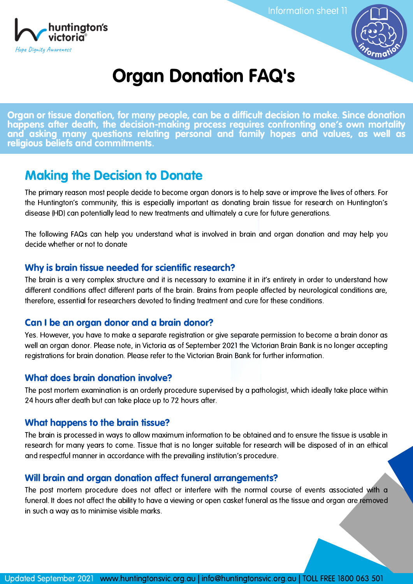

Information sheet 11



# Organ Donation FAQ's

Organ or tissue donation, for many people, can be a difficult decision to make. Since donation happens after death, the decision-making process requires confronting one's own mortality and asking many questions relating personal and family hopes and values, as well as religious beliefs and commitments.

# Making the Decision to Donate

The primary reason most people decide to become organ donors is to help save or improve the lives of others. For the Huntington's community, this is especially important as donating brain tissue for research on Huntington's disease (HD) can potentially lead to new treatments and ultimately a cure for future generations.

The following FAQs can help you understand what is involved in brain and organ donation and may help you decide whether or not to donate

### Why is brain tissue needed for scientific research?

The brain is a very complex structure and it is necessary to examine it in it's entirety in order to understand how different conditions affect different parts of the brain. Brains from people affected by neurological conditions are, therefore, essential for researchers devoted to finding treatment and cure for these conditions.

# Can I be an organ donor and a brain donor?

Yes. However, you have to make a separate registration or give separate permission to become a brain donor as well an organ donor. Please note, in Victoria as of September 2021 the Victorian Brain Bank is no longer accepting registrations for brain donation. Please refer to the Victorian Brain Bank for further information.

# What does brain donation involve?

The post mortem examination is an orderly procedure supervised by a pathologist, which ideally take place within 24 hours after death but can take place up to 72 hours after.

#### What happens to the brain tissue?

The brain is processed in ways to allow maximum information to be obtained and to ensure the tissue is usable in research for many years to come. Tissue that is no longer suitable for research will be disposed of in an ethical and respectful manner in accordance with the prevailing institution's procedure.

# Will brain and organ donation affect funeral arrangements?

The post mortem procedure does not affect or interfere with the normal course of events associated with a funeral. It does not affect the ability to have a viewing or open casket funeral as the tissue and organ are removed in such a way as to minimise visible marks.